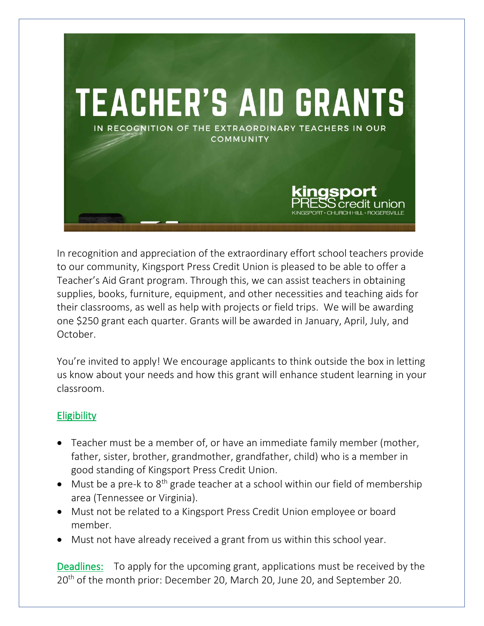

In recognition and appreciation of the extraordinary effort school teachers provide to our community, Kingsport Press Credit Union is pleased to be able to offer a Teacher's Aid Grant program. Through this, we can assist teachers in obtaining supplies, books, furniture, equipment, and other necessities and teaching aids for their classrooms, as well as help with projects or field trips. We will be awarding one \$250 grant each quarter. Grants will be awarded in January, April, July, and October.

You're invited to apply! We encourage applicants to think outside the box in letting us know about your needs and how this grant will enhance student learning in your classroom.

## **Eligibility**

- Teacher must be a member of, or have an immediate family member (mother, father, sister, brother, grandmother, grandfather, child) who is a member in good standing of Kingsport Press Credit Union.
- Must be a pre-k to  $8<sup>th</sup>$  grade teacher at a school within our field of membership area (Tennessee or Virginia).
- Must not be related to a Kingsport Press Credit Union employee or board member.
- Must not have already received a grant from us within this school year.

Deadlines: To apply for the upcoming grant, applications must be received by the 20<sup>th</sup> of the month prior: December 20, March 20, June 20, and September 20.